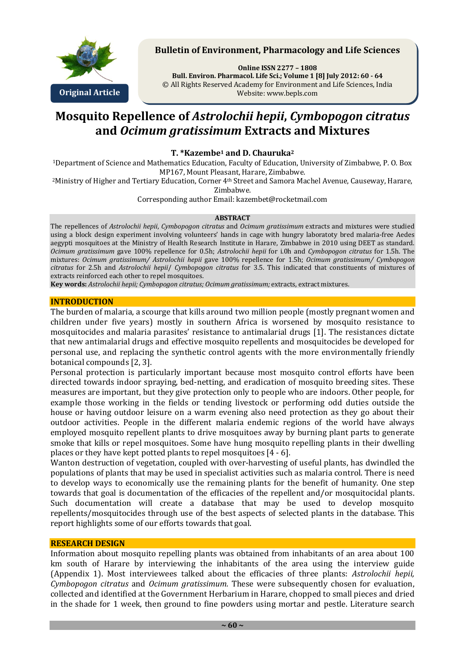

## **Bulletin of Environment, Pharmacology and Life Sciences**

**Online ISSN 2277 – 1808 Bull. Environ. Pharmacol. Life Sci.; Volume 1 [8] July 2012: 60 - 64** © All Rights Reserved Academy for Environment and Life Sciences, India Website: www.bepls.com

# **Mosquito Repellence of** *Astrolochii hepii***,** *Cymbopogon citratus* **and** *Ocimum gratissimum* **Extracts and Mixtures**

## **T. \*Kazembe<sup>1</sup> and D. Chauruka<sup>2</sup>**

<sup>1</sup>Department of Science and Mathematics Education, Faculty of Education, University of Zimbabwe, P. O. Box MP167, Mount Pleasant, Harare, Zimbabwe.

<sup>2</sup>Ministry of Higher and Tertiary Education, Corner 4<sup>th</sup> Street and Samora Machel Avenue, Causeway, Harare, Zimbabwe.

Corresponding author Email: kazembet@rocketmail.com

#### **ABSTRACT**

The repellences of *Astrolochii hepii*, *Cymbopogon citratus* and *Ocimum gratissimum* extracts and mixtures were studied using a block design experiment involving volunteers' hands in cage with hungry laboratoty bred malaria-free Aedes aegypti mosquitoes at the Ministry of Health Research Institute in Harare, Zimbabwe in 2010 using DEET as standard. *Ocimum gratissimum* gave 100% repellence for 0.5h; *Astrolochii hepii* for i.0h and *Cymbopogon citratus* for 1.5h. The mixtures: *Ocimum gratissimum/ Astrolochii hepii* gave 100% repellence for 1.5h; *Ocimum gratissimum/ Cymbopogon citratus* for 2.5h and *Astrolochii hepii*/ *Cymbopogon citratus* for 3.5. This indicated that constituents of mixtures of extracts reinforced each other to repel mosquitoes.

**Key words:** *Astrolochii hepii; Cymbopogon citratus; Ocimum gratissimum;* extracts, extract mixtures.

#### **INTRODUCTION**

The burden of malaria, a scourge that kills around two million people (mostly pregnant women and children under five years) mostly in southern Africa is worsened by mosquito resistance to mosquitocides and malaria parasites' resistance to antimalarial drugs [1]. The resistances dictate that new antimalarial drugs and effective mosquito repellents and mosquitocides be developed for personal use, and replacing the synthetic control agents with the more environmentally friendly botanical compounds [2, 3].

Personal protection is particularly important because most mosquito control efforts have been directed towards indoor spraying, bed-netting, and eradication of mosquito breeding sites. These measures are important, but they give protection only to people who are indoors. Other people, for example those working in the fields or tending livestock or performing odd duties outside the house or having outdoor leisure on a warm evening also need protection as they go about their outdoor activities. People in the different malaria endemic regions of the world have always employed mosquito repellent plants to drive mosquitoes away by burning plant parts to generate smoke that kills or repel mosquitoes. Some have hung mosquito repelling plants in their dwelling places or they have kept potted plants to repel mosquitoes [4 - 6].

Wanton destruction of vegetation, coupled with over-harvesting of useful plants, has dwindled the populations of plants that may be used in specialist activities such as malaria control. There is need to develop ways to economically use the remaining plants for the benefit of humanity. One step towards that goal is documentation of the efficacies of the repellent and/or mosquitocidal plants. Such documentation will create a database that may be used to develop mosquito repellents/mosquitocides through use of the best aspects of selected plants in the database. This report highlights some of our efforts towards that goal.

#### **RESEARCH DESIGN**

Information about mosquito repelling plants was obtained from inhabitants of an area about 100 km south of Harare by interviewing the inhabitants of the area using the interview guide (Appendix 1). Most interviewees talked about the efficacies of three plants: *Astrolochii hepii, Cymbopogon citratus* and *Ocimum gratissimum.* These were subsequently chosen for evaluation, collected and identified at the Government Herbarium in Harare, chopped to small pieces and dried in the shade for 1 week, then ground to fine powders using mortar and pestle. Literature search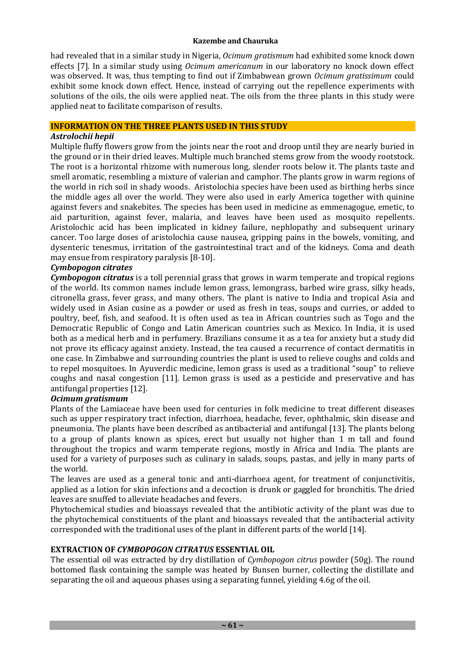### **Kazembe and Chauruka**

had revealed that in a similar study in Nigeria, *Ocimum gratismum* had exhibited some knock down effects [7]. In a similar study using *Ocimum americanum* in our laboratory no knock down effect was observed. It was, thus tempting to find out if Zimbabwean grown *Ocimum gratissimum* could exhibit some knock down effect. Hence, instead of carrying out the repellence experiments with solutions of the oils, the oils were applied neat. The oils from the three plants in this study were applied neat to facilitate comparison of results.

#### **INFORMATION ON THE THREE PLANTS USED IN THIS STUDY**

## *Astrolochii hepii*

Multiple fluffy flowers grow from the joints near the root and droop until they are nearly buried in the ground or in their dried leaves. Multiple much branched stems grow from the woody rootstock. The root is a horizontal rhizome with numerous long, slender roots below it. The plants taste and smell aromatic, resembling a mixture of valerian and camphor. The plants grow in warm regions of the world in rich soil in shady woods. Aristolochia species have been used as birthing herbs since the middle ages all over the world. They were also used in early America together with quinine against fevers and snakebites. The species has been used in medicine as emmenagogue, emetic, to aid parturition, against fever, malaria, and leaves have been used as mosquito repellents. Aristolochic acid has been implicated in kidney failure, nephlopathy and subsequent urinary cancer. Too large doses of aristolochia cause nausea, gripping pains in the bowels, vomiting, and dysenteric tenesmus, irritation of the gastrointestinal tract and of the kidneys. Coma and death may ensue from respiratory paralysis [8-10].

#### *Cymbopogon citrates*

*Cymbopogon citratus* is a toll perennial grass that grows in warm temperate and tropical regions of the world. Its common names include lemon grass, lemongrass, barbed wire grass, silky heads, citronella grass, fever grass, and many others. The plant is native to India and tropical Asia and widely used in Asian cusine as a powder or used as fresh in teas, soups and curries, or added to poultry, beef, fish, and seafood. It is often used as tea in African countries such as Togo and the Democratic Republic of Congo and Latin American countries such as Mexico. In India, it is used both as a medical herb and in perfumery. Brazilians consume it as a tea for anxiety but a study did not prove its efficacy against anxiety. Instead, the tea caused a recurrence of contact dermatitis in one case. In Zimbabwe and surrounding countries the plant is used to relieve coughs and colds and to repel mosquitoes. In Ayuverdic medicine, lemon grass is used as a traditional "soup" to relieve coughs and nasal congestion [11]. Lemon grass is used as a pesticide and preservative and has antifungal properties [12].

### *Ocimum gratismum*

Plants of the Lamiaceae have been used for centuries in folk medicine to treat different diseases such as upper respiratory tract infection, diarrhoea, headache, fever, ophthalmic, skin disease and pneumonia. The plants have been described as antibacterial and antifungal [13]. The plants belong to a group of plants known as spices, erect but usually not higher than 1 m tall and found throughout the tropics and warm temperate regions, mostly in Africa and India. The plants are used for a variety of purposes such as culinary in salads, soups, pastas, and jelly in many parts of the world.

The leaves are used as a general tonic and anti-diarrhoea agent, for treatment of conjunctivitis, applied as a lotion for skin infections and a decoction is drunk or gaggled for bronchitis. The dried leaves are snuffed to alleviate headaches and fevers.

Phytochemical studies and bioassays revealed that the antibiotic activity of the plant was due to the phytochemical constituents of the plant and bioassays revealed that the antibacterial activity corresponded with the traditional uses of the plant in different parts of the world [14].

## **EXTRACTION OF** *CYMBOPOGON CITRATUS* **ESSENTIAL OIL**

The essential oil was extracted by dry distillation of *Cymbopogon citrus* powder (50g)*.* The round bottomed flask containing the sample was heated by Bunsen burner, collecting the distillate and separating the oil and aqueous phases using a separating funnel, yielding 4.6g of the oil.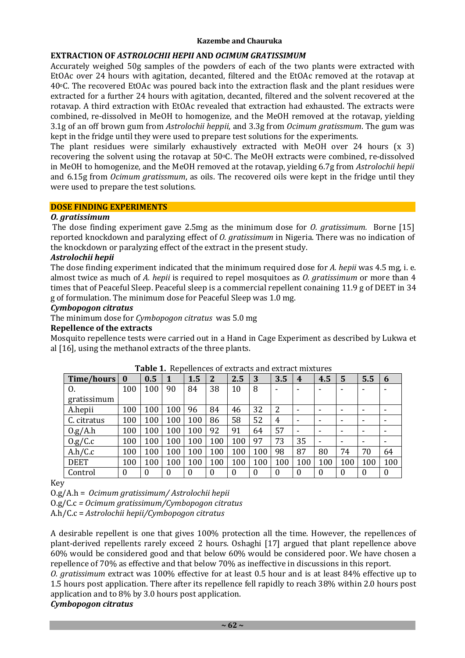## **Kazembe and Chauruka**

# **EXTRACTION OF** *ASTROLOCHII HEPII* **AND** *OCIMUM GRATISSIMUM*

Accurately weighed 50g samples of the powders of each of the two plants were extracted with EtOAc over 24 hours with agitation, decanted, filtered and the EtOAc removed at the rotavap at 40oC. The recovered EtOAc was poured back into the extraction flask and the plant residues were extracted for a further 24 hours with agitation, decanted, filtered and the solvent recovered at the rotavap. A third extraction with EtOAc revealed that extraction had exhausted. The extracts were combined, re-dissolved in MeOH to homogenize, and the MeOH removed at the rotavap, yielding 3.1g of an off brown gum from *Astrolochii heppii*, and 3.3g from *Ocimum gratissmum*. The gum was kept in the fridge until they were used to prepare test solutions for the experiments.

The plant residues were similarly exhaustively extracted with MeOH over 24 hours (x 3) recovering the solvent using the rotavap at 50oC. The MeOH extracts were combined, re-dissolved in MeOH to homogenize, and the MeOH removed at the rotavap, yielding 6.7g from *Astrolochii hepii* and 6.15g from *Ocimum gratissmum*, as oils. The recovered oils were kept in the fridge until they were used to prepare the test solutions.

## **DOSE FINDING EXPERIMENTS**

## *O. gratissimum*

The dose finding experiment gave 2.5mg as the minimum dose for *O. gratissimum.* Borne [15] reported knockdown and paralyzing effect of *O. gratissimum* in Nigeria. There was no indication of the knockdown or paralyzing effect of the extract in the present study.

## *Astrolochii hepii*

The dose finding experiment indicated that the minimum required dose for *A. hepii* was 4.5 mg, i. e. almost twice as much of *A. hepii* is required to repel mosquitoes as *O. gratissimum* or more than 4 times that of Peaceful Sleep. Peaceful sleep is a commercial repellent conaining 11.9 g of DEET in 34 g of formulation. The minimum dose for Peaceful Sleep was 1.0 mg.

#### *Cymbopogon citratus*

The minimum dose for *Cymbopogon citratus* was 5.0 mg

## **Repellence of the extracts**

Mosquito repellence tests were carried out in a Hand in Cage Experiment as described by Lukwa et al [16], using the methanol extracts of the three plants.

| Time/hours  | $\bf{0}$ | 0.5      |     | 1.5      | $\overline{2}$ | 2.5      | 3   | 3.5      | $\boldsymbol{4}$         | 4.5 | 5                        | 5.5                      | 6   |
|-------------|----------|----------|-----|----------|----------------|----------|-----|----------|--------------------------|-----|--------------------------|--------------------------|-----|
| 0.          | 100      | 100      | 90  | 84       | 38             | 10       | 8   |          |                          |     |                          |                          |     |
| gratissimum |          |          |     |          |                |          |     |          |                          |     |                          |                          |     |
| A.hepii     | 100      | 100      | 100 | 96       | 84             | 46       | 32  | 2        |                          |     | $\overline{\phantom{0}}$ |                          |     |
| C. citratus | 100      | 100      | 100 | 100      | 86             | 58       | 52  | 4        |                          |     | $\overline{\phantom{0}}$ |                          |     |
| 0.g/A.h     | 100      | 100      | 100 | 100      | 92             | 91       | 64  | 57       | $\overline{\phantom{0}}$ | -   | $\overline{\phantom{0}}$ | $\overline{\phantom{0}}$ |     |
| 0.g/C.c     | 100      | 100      | 100 | 100      | 100            | 100      | 97  | 73       | 35                       |     | $\overline{\phantom{0}}$ |                          |     |
| A.h/C.c     | 100      | 100      | 100 | 100      | 100            | 100      | 100 | 98       | 87                       | 80  | 74                       | 70                       | 64  |
| <b>DEET</b> | 100      | 100      | 100 | 100      | 100            | 100      | 100 | 100      | 100                      | 100 | 100                      | 100                      | 100 |
| Control     | $\theta$ | $\theta$ | 0   | $\theta$ |                | $\theta$ | 0   | $\theta$ | $\Omega$                 |     | $\theta$                 | $\Omega$                 | 0   |

## **Table 1.** Repellences of extracts and extract mixtures

Key

O.g/A.h = *Ocimum gratissimum/ Astrolochii hepii*

O.g/C.c *= Ocimum gratissimum/Cymbopogon citratus*

A.h/C.c = *Astrolochii hepii/Cymbopogon citratus*

A desirable repellent is one that gives 100% protection all the time. However, the repellences of plant-derived repellents rarely exceed 2 hours. Oshaghi [17] argued that plant repellence above 60% would be considered good and that below 60% would be considered poor. We have chosen a repellence of 70% as effective and that below 70% as ineffective in discussions in this report.

*O. gratissimum* extract was 100% effective for at least 0.5 hour and is at least 84% effective up to 1.5 hours post application. There after its repellence fell rapidly to reach 38% within 2.0 hours post application and to 8% by 3.0 hours post application.

# *Cymbopogon citratus*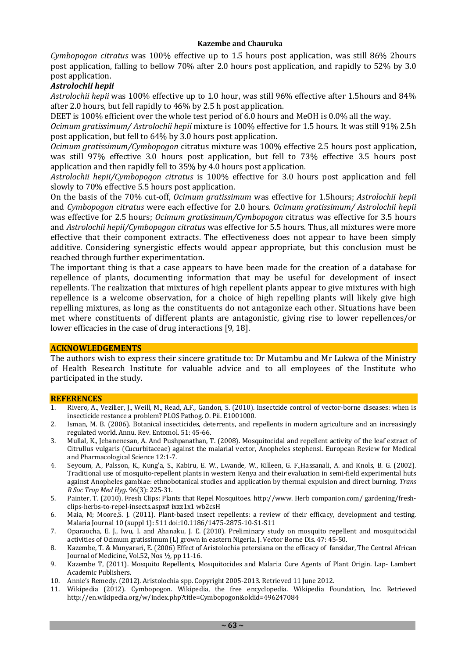*Cymbopogon citratus* was 100% effective up to 1.5 hours post application, was still 86% 2hours post application, falling to bellow 70% after 2.0 hours post application, and rapidly to 52% by 3.0 post application.

## *Astrolochii hepii*

*Astrolochii hepii* was 100% effective up to 1.0 hour, was still 96% effective after 1.5hours and 84% after 2.0 hours, but fell rapidly to 46% by 2.5 h post application.

DEET is 100% efficient over the whole test period of 6.0 hours and MeOH is 0.0% all the way.

*Ocimum gratissimum/ Astrolochii hepii* mixture is 100% effective for 1.5 hours. It was still 91% 2.5h post application, but fell to 64% by 3.0 hours post application.

*Ocimum gratissimum/Cymbopogon* citratus mixture was 100% effective 2.5 hours post application, was still 97% effective 3.0 hours post application, but fell to 73% effective 3.5 hours post application and then rapidly fell to 35% by 4.0 hours post application.

*Astrolochii hepii/Cymbopogon citratus* is 100% effective for 3.0 hours post application and fell slowly to 70% effective 5.5 hours post application.

On the basis of the 70% cut-off, *Ocimum gratissimum* was effective for 1.5hours; *Astrolochii hepii*  and *Cymbopogon citratus* were each effective for 2.0 hours. *Ocimum gratissimum/ Astrolochii hepii*  was effective for 2.5 hours; *Ocimum gratissimum/Cymbopogon* citratus was effective for 3.5 hours and *Astrolochii hepii/Cymbopogon citratus* was effective for 5.5 hours. Thus, all mixtures were more effective that their component extracts. The effectiveness does not appear to have been simply additive. Considering synergistic effects would appear appropriate, but this conclusion must be reached through further experimentation.

The important thing is that a case appears to have been made for the creation of a database for repellence of plants, documenting information that may be useful for development of insect repellents. The realization that mixtures of high repellent plants appear to give mixtures with high repellence is a welcome observation, for a choice of high repelling plants will likely give high repelling mixtures, as long as the constituents do not antagonize each other. Situations have been met where constituents of different plants are antagonistic, giving rise to lower repellences/or lower efficacies in the case of drug interactions [9, 18].

#### **ACKNOWLEDGEMENTS**

The authors wish to express their sincere gratitude to: Dr Mutambu and Mr Lukwa of the Ministry of Health Research Institute for valuable advice and to all employees of the Institute who participated in the study.

#### **REFERENCES**

- 1. Rivero, A., Vezilier, J., Weill, M., Read, A.F., Gandon, S. (2010). Insectcide control of vector-borne diseases: when is insecticide restance a problem? PLOS Pathog. O. Pii. E1001000.
- 2. Isman, M. B. (2006). Botanical insecticides, deterrents, and repellents in modern agriculture and an increasingly regulated world. Annu. Rev. Entomol. 51: 45-66.
- 3. Mullal, K., Jebanenesan, A. And Pushpanathan, T. (2008). Mosquitocidal and repellent activity of the leaf extract of Citrullus vulgaris (Cucurbitaceae) against the malarial vector, Anopheles stephensi. European Review for Medical and Pharmacological Science 12:1-7.
- 4. Seyoum, A., Palsson, K., Kung'a, S., Kabiru, E. W., Lwande, W., Killeen, G. F.,Hassanali, A. and Knols, B. G. (2002). Traditional use of mosquito-repellent plants in western Kenya and their evaluation in semi-field experimental huts against Anopheles gambiae: ethnobotanical studies and application by thermal expulsion and direct burning. *Trans R Soc Trop Med Hyg*. 96(3): 225-31.
- 5. Painter, T. (2010). Fresh Clips: Plants that Repel Mosquitoes. http://www. Herb companion.com/ gardening/freshclips-herbs-to-repel-insects.aspx# ixzz1x1 wb2csH
- 6. Maia, M; Moore,S. J. (2011). Plant-based insect repellents: a review of their efficacy, development and testing. Malaria Journal 10 (suppl 1): S11 doi:10.1186/1475-2875-10-S1-S11
- 7. Oparaocha, E. J., Iwu, I. and Ahanaku, J. E. (2010). Preliminary study on mosquito repellent and mosquitocidal activities of Ocimum gratissimum (L) grown in eastern Nigeria. J. Vector Borne Dis. 47: 45-50.
- 8. Kazembe, T. & Munyarari, E. (2006) Effect of Aristolochia petersiana on the efficacy of fansidar, The Central African Journal of Medicine, Vol.52, Nos ½, pp 11-16.
- 9. Kazembe T, (2011). Mosquito Repellents, Mosquitocides and Malaria Cure Agents of Plant Origin. Lap- Lambert Academic Publishers.
- 10. Annie's Remedy. (2012). Aristolochia spp. Copyright 2005-2013. Retrieved 11 June 2012.
- 11. Wikipedia (2012). Cymbopogon. Wikipedia, the free encyclopedia. Wikipedia Foundation, Inc. Retrieved http://en.wikipedia.org/w/index.php?title=Cymbopogon&oldid=496247084